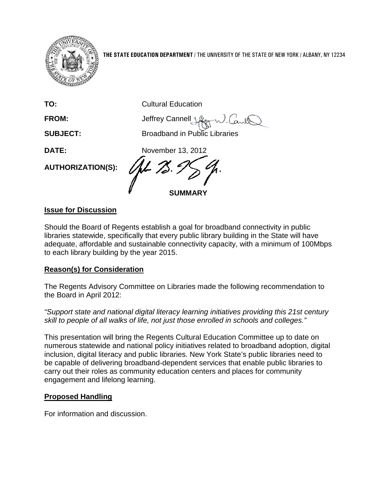

**THE STATE EDUCATION DEPARTMENT** / THE UNIVERSITY OF THE STATE OF NEW YORK / ALBANY, NY 12234

| TO:                      | <b>Cultural Education</b>            |
|--------------------------|--------------------------------------|
| <b>FROM:</b>             | Jeffrey Cannell Vke                  |
| <b>SUBJECT:</b>          | <b>Broadband in Public Libraries</b> |
| <b>DATE:</b>             | November 13, 2012                    |
| <b>AUTHORIZATION(S):</b> | <b>SUMMARY</b>                       |

### **Issue for Discussion**

Should the Board of Regents establish a goal for broadband connectivity in public libraries statewide, specifically that every public library building in the State will have adequate, affordable and sustainable connectivity capacity, with a minimum of 100Mbps to each library building by the year 2015.

### **Reason(s) for Consideration**

The Regents Advisory Committee on Libraries made the following recommendation to the Board in April 2012:

*"Support state and national digital literacy learning initiatives providing this 21st century skill to people of all walks of life, not just those enrolled in schools and colleges."*

This presentation will bring the Regents Cultural Education Committee up to date on numerous statewide and national policy initiatives related to broadband adoption, digital inclusion, digital literacy and public libraries. New York State's public libraries need to be capable of delivering broadband-dependent services that enable public libraries to carry out their roles as community education centers and places for community engagement and lifelong learning.

# **Proposed Handling**

For information and discussion.